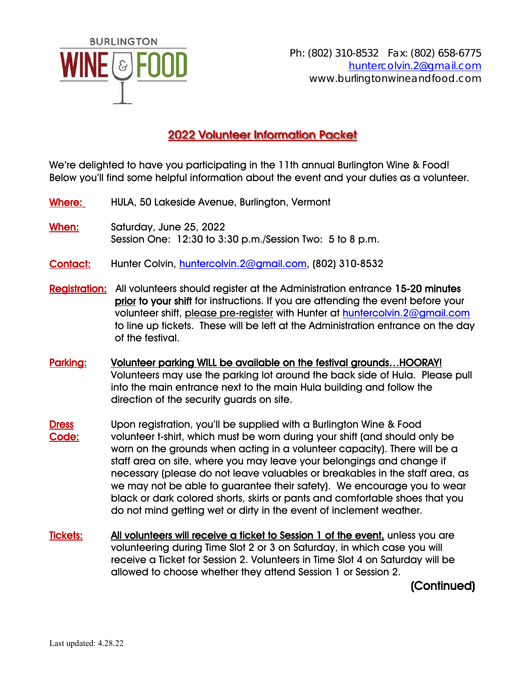

## 2022 Volunteer Information Packet

We're delighted to have you participating in the 11th annual Burlington Wine & Food! Below you'll find some helpful information about the event and your duties as a volunteer.

- Where: HULA, 50 Lakeside Avenue, Burlington, Vermont
- When: Saturday, June 25, 2022 Session One: 12:30 to 3:30 p.m./Session Two: 5 to 8 p.m.
- Contact: Hunter Colvin, huntercolvin. 2@gmail.com, (802) 310-8532
- Registration: All volunteers should register at the Administration entrance 15-20 minutes prior to your shift for instructions. If you are attending the event before your volunteer shift, please pre-register with Hunter at huntercolvin.2@gmail.com to line up tickets. These will be left at the Administration entrance on the day of the festival.
- Parking: Volunteer parking WILL be available on the festival grounds...HOORAY! Volunteers may use the parking lot around the back side of Hula. Please pull into the main entrance next to the main Hula building and follow the direction of the security guards on site.
- Dress Upon registration, you'll be supplied with a Burlington Wine & Food Code: volunteer t-shirt, which must be worn during your shift (and should only be worn on the grounds when acting in a volunteer capacity). There will be a staff area on site, where you may leave your belongings and change if necessary (please do not leave valuables or breakables in the staff area, as we may not be able to guarantee their safety). We encourage you to wear black or dark colored shorts, skirts or pants and comfortable shoes that you do not mind getting wet or dirty in the event of inclement weather.
- Tickets: All volunteers will receive a ticket to Session 1 of the event, unless you are volunteering during Time Slot 2 or 3 on Saturday, in which case you will receive a Ticket for Session 2. Volunteers in Time Slot 4 on Saturday will be allowed to choose whether they attend Session 1 or Session 2.

(Continued)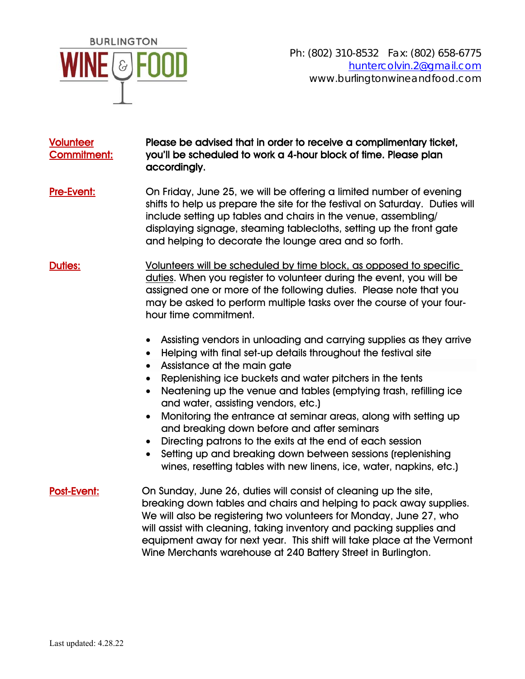

## Volunteer Please be advised that in order to receive a complimentary ticket, Commitment: you'll be scheduled to work a 4-hour block of time. Please plan accordingly.

- Pre-Event: On Friday, June 25, we will be offering a limited number of evening shifts to help us prepare the site for the festival on Saturday. Duties will include setting up tables and chairs in the venue, assembling/ displaying signage, steaming tablecloths, setting up the front gate and helping to decorate the lounge area and so forth.
- Duties: Volunteers will be scheduled by time block, as opposed to specific duties. When you register to volunteer during the event, you will be assigned one or more of the following duties. Please note that you may be asked to perform multiple tasks over the course of your fourhour time commitment.
	- Assisting vendors in unloading and carrying supplies as they arrive
	- Helping with final set-up details throughout the festival site
	- Assistance at the main gate
	- Replenishing ice buckets and water pitchers in the tents
	- Neatening up the venue and tables (emptying trash, refilling ice and water, assisting vendors, etc.)
	- Monitoring the entrance at seminar areas, along with setting up and breaking down before and after seminars
	- Directing patrons to the exits at the end of each session
	- Setting up and breaking down between sessions (replenishing wines, resetting tables with new linens, ice, water, napkins, etc.)
- Post-Event: On Sunday, June 26, duties will consist of cleaning up the site, breaking down tables and chairs and helping to pack away supplies. We will also be registering two volunteers for Monday, June 27, who will assist with cleaning, taking inventory and packing supplies and equipment away for next year. This shift will take place at the Vermont Wine Merchants warehouse at 240 Battery Street in Burlington.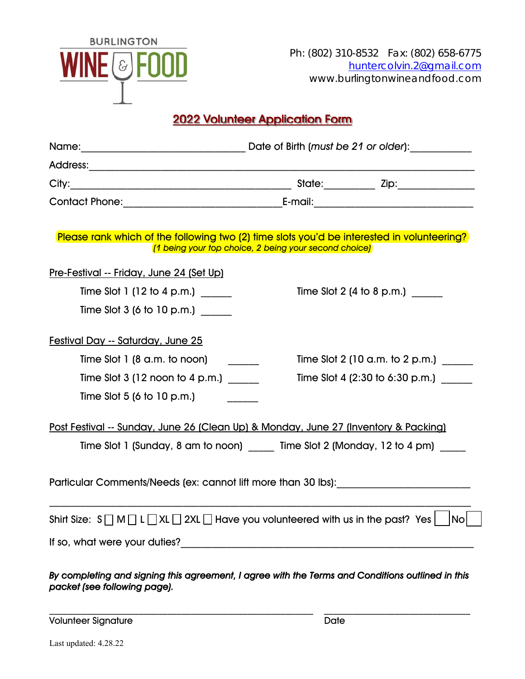

Ph: (802) 310-8532 Fax: (802) 658-6775 huntercolvin.2@gmail.com www.burlingtonwineandfood.com

## 2022 Volunteer Application Form

| Please rank which of the following two (2) time slots you'd be interested in volunteering?<br>[1 being your top choice, 2 being your second choice] |  |  |                                 |
|-----------------------------------------------------------------------------------------------------------------------------------------------------|--|--|---------------------------------|
| <u>Pre-Festival -- Friday, June 24 (Set Up)</u>                                                                                                     |  |  |                                 |
| Time Slot 1 (12 to 4 p.m.)                                                                                                                          |  |  | Time Slot 2 (4 to 8 p.m.)       |
| Time Slot 3 (6 to 10 p.m.)                                                                                                                          |  |  |                                 |
| Festival Day -- Saturday, June 25                                                                                                                   |  |  |                                 |
| Time Slot $1$ (8 a.m. to noon)                                                                                                                      |  |  | Time Slot 2 (10 a.m. to 2 p.m.) |
| Time Slot $3$ (12 noon to 4 p.m.)                                                                                                                   |  |  | Time Slot 4 (2:30 to 6:30 p.m.) |
| Time Slot 5 (6 to 10 p.m.)                                                                                                                          |  |  |                                 |
| Post Festival -- Sunday, June 26 (Clean Up) & Monday, June 27 (Inventory & Packing)                                                                 |  |  |                                 |
| Time Slot 1 (Sunday, 8 am to noon) _____ Time Slot 2 (Monday, 12 to 4 pm)                                                                           |  |  |                                 |
| Particular Comments/Needs (ex: cannot lift more than 30 lbs):                                                                                       |  |  |                                 |
| Shirt Size: $S \cap M \cap L \cap XL \cap 2XL \cap H$ are you volunteered with us in the past? Yes                                                  |  |  | $\mathsf{No}\mathsf{l}$         |
|                                                                                                                                                     |  |  |                                 |
| By completing and signing this agreement, I agree with the Terms and Conditions outlined in this<br>packet (see following page).                    |  |  |                                 |

Volunteer Signature Date